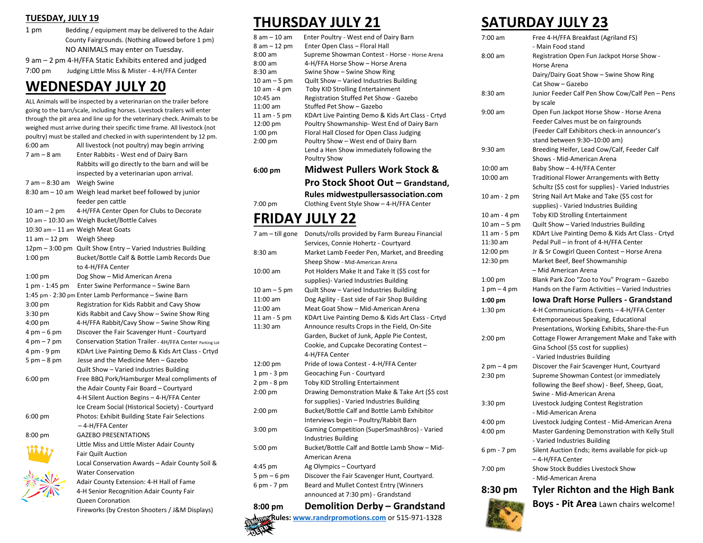### **TUESDAY, JULY 19**

| 1 pm | Bedding / equipment may be delivered to the Adair |
|------|---------------------------------------------------|
|      | County Fairgrounds. (Nothing allowed before 1 pm) |
|      | NO ANIMALS may enter on Tuesday.                  |
|      |                                                   |

9 am – 2 pm 4-H/FFA Static Exhibits entered and judged 7:00 pm Judging Little Miss & Mister - 4-H/FFA Center

### **WEDNESDAY JULY 20**

ALL Animals will be inspected by a veterinarian on the trailer before going to the barn/scale, including horses. Livestock trailers will enter through the pit area and line up for the veterinary check. Animals to be weighed must arrive during their specific time frame. All livestock (not poultry) must be stalled and checked in with superintendent by 12 pm.

| 6:00 am                       | All livestock (not poultry) may begin arriving                     |
|-------------------------------|--------------------------------------------------------------------|
| 7 am – 8 am                   | Enter Rabbits - West end of Dairy Barn                             |
|                               | Rabbits will go directly to the barn and will be                   |
|                               | inspected by a veterinarian upon arrival.                          |
| 7 am - 8:30 am                | Weigh Swine                                                        |
|                               | 8:30 am - 10 am Weigh lead market beef followed by junior          |
|                               | feeder pen cattle                                                  |
| $10$ am $-$ 2 pm              | 4-H/FFA Center Open for Clubs to Decorate                          |
|                               | 10 am - 10:30 am Weigh Bucket/Bottle Calves                        |
|                               | 10:30 am - 11 am Weigh Meat Goats                                  |
| 11 am $-$ 12 pm               | Weigh Sheep                                                        |
|                               | 12pm - 3:00 pm Quilt Show Entry - Varied Industries Building       |
| $1:00$ pm                     | Bucket/Bottle Calf & Bottle Lamb Records Due                       |
|                               | to 4-H/FFA Center                                                  |
| $1:00$ pm                     | Dog Show - Mid American Arena                                      |
| 1 pm - 1:45 pm                | Enter Swine Performance - Swine Barn                               |
|                               | 1:45 pm - 2:30 pm Enter Lamb Performance - Swine Barn              |
| $3:00$ pm                     | Registration for Kids Rabbit and Cavy Show                         |
| 3:30 pm                       | Kids Rabbit and Cavy Show - Swine Show Ring                        |
| $4:00$ pm                     | 4-H/FFA Rabbit/Cavy Show - Swine Show Ring                         |
| $4 \text{ pm} - 6 \text{ pm}$ | Discover the Fair Scavenger Hunt - Courtyard                       |
| $4 \text{ pm} - 7 \text{ pm}$ | Conservation Station Trailer - 4H/FFA Center Parking Lot           |
| 4 pm - 9 pm                   | KDArt Live Painting Demo & Kids Art Class - Crtyd                  |
| $5 \text{ pm} - 8 \text{ pm}$ | Jesse and the Medicine Men - Gazebo                                |
|                               | Quilt Show - Varied Industries Building                            |
| 6:00 pm                       | Free BBQ Pork/Hamburger Meal compliments of                        |
|                               | the Adair County Fair Board - Courtyard                            |
|                               | 4-H Silent Auction Begins - 4-H/FFA Center                         |
|                               | Ice Cream Social (Historical Society) - Courtyard                  |
| 6:00 pm                       | Photos: Exhibit Building State Fair Selections<br>– 4-H/FFA Center |
| 8:00 pm                       | <b>GAZEBO PRESENTATIONS</b>                                        |
|                               | Little Miss and Little Mister Adair County                         |
|                               | <b>Fair Quilt Auction</b>                                          |
|                               | Local Conservation Awards - Adair County Soil &                    |
|                               | <b>Water Conservation</b>                                          |
|                               | Adair County Extension: 4-H Hall of Fame                           |
|                               | 4-H Senior Recognition Adair County Fair                           |
|                               | <b>Queen Coronation</b>                                            |
|                               | Fireworks (by Creston Shooters / J&M Displays)                     |

### **THURSDAY JULY 21**

| 8 am - 10 am      | Enter Poultry - West end of Dairy Barn            |
|-------------------|---------------------------------------------------|
| 8 am - 12 pm      | Enter Open Class - Floral Hall                    |
| $8:00 \text{ am}$ |                                                   |
|                   | Supreme Showman Contest - Horse - Horse Arena     |
| $8:00 \text{ am}$ | 4-H/FFA Horse Show - Horse Arena                  |
| $8:30$ am         | Swine Show - Swine Show Ring                      |
| $10 am - 5 pm$    | Quilt Show - Varied Industries Building           |
| 10 am - 4 pm      | <b>Toby KID Strolling Entertainment</b>           |
| $10:45$ am        | Registration Stuffed Pet Show - Gazebo            |
| $11:00$ am        | Stuffed Pet Show - Gazebo                         |
| 11 am - 5 pm      | KDArt Live Painting Demo & Kids Art Class - Crtyd |
| 12:00 pm          | Poultry Showmanship- West End of Dairy Barn       |
| $1:00$ pm         | Floral Hall Closed for Open Class Judging         |
| $2:00$ pm         | Poultry Show - West end of Dairy Barn             |
|                   | Lend a Hen Show immediately following the         |
|                   | <b>Poultry Show</b>                               |
| $6:00 \text{ pm}$ | <b>Midwest Pullers Work Stock &amp;</b>           |
|                   | Pro Stock Shoot Out - Grandstand,                 |
|                   | Rules midwestpullersassociation.com               |

7:00 pm Clothing Event Style Show – 4-H/FFA Center

## **FRIDAY JULY 22**

| 7 am - till gone              | Donuts/rolls provided by Farm Bureau Financial    |
|-------------------------------|---------------------------------------------------|
|                               | Services, Connie Hohertz - Courtyard              |
| $8:30$ am                     | Market Lamb Feeder Pen, Market, and Breeding      |
|                               | Sheep Show - Mid-American Arena                   |
| 10:00 am                      | Pot Holders Make It and Take It (\$5 cost for     |
|                               | supplies)- Varied Industries Building             |
| $10 am - 5 pm$                | Quilt Show - Varied Industries Building           |
| $11:00$ am                    | Dog Agility - East side of Fair Shop Building     |
| $11:00$ am                    | Meat Goat Show - Mid-American Arena               |
| 11 am - 5 pm                  | KDArt Live Painting Demo & Kids Art Class - Crtyd |
| 11:30 am                      | Announce results Crops in the Field, On-Site      |
|                               | Garden, Bucket of Junk, Apple Pie Contest,        |
|                               | Cookie, and Cupcake Decorating Contest -          |
|                               | 4-H/FFA Center                                    |
| 12:00 pm                      | Pride of Iowa Contest - 4-H/FFA Center            |
| 1 pm - 3 pm                   | Geocaching Fun - Courtyard                        |
| 2 pm - 8 pm                   | <b>Toby KID Strolling Entertainment</b>           |
| $2:00$ pm                     | Drawing Demonstration Make & Take Art (\$5 cost   |
|                               | for supplies) - Varied Industries Building        |
| $2:00$ pm                     | Bucket/Bottle Calf and Bottle Lamb Exhibitor      |
|                               | Interviews begin - Poultry/Rabbit Barn            |
| $3:00$ pm                     | Gaming Competition (SuperSmashBros) - Varied      |
|                               | <b>Industries Building</b>                        |
| 5:00 pm                       | Bucket/Bottle Calf and Bottle Lamb Show - Mid-    |
|                               | American Arena                                    |
| 4:45 pm                       | Ag Olympics - Courtyard                           |
| $5 \text{ pm} - 6 \text{ pm}$ | Discover the Fair Scavenger Hunt, Courtyard.      |
| 6 pm - 7 pm                   | Beard and Mullet Contest Entry (Winners           |
|                               | announced at 7:30 pm) - Grandstand                |
| 8:00 pm                       | <b>Demolition Derby - Grandstand</b>              |
|                               |                                                   |

**8:00 pm Demolition Derby – Grandstand Rules[: www.randrpromotions.com](http://www.randrpromotions.com/)** or 515-971-1328

### **SATURDAY JULY 23**

| 7:00 am                       | Free 4-H/FFA Breakfast (Agriland FS)<br>- Main Food stand                              |
|-------------------------------|----------------------------------------------------------------------------------------|
| $8:00$ am                     | Registration Open Fun Jackpot Horse Show -                                             |
|                               | Horse Arena                                                                            |
|                               | Dairy/Dairy Goat Show - Swine Show Ring                                                |
|                               | Cat Show - Gazebo                                                                      |
| 8:30 am                       | Junior Feeder Calf Pen Show Cow/Calf Pen - Pens                                        |
|                               | by scale                                                                               |
| $9:00$ am                     | Open Fun Jackpot Horse Show - Horse Arena                                              |
|                               | Feeder Calves must be on fairgrounds                                                   |
|                               | (Feeder Calf Exhibitors check-in announcer's                                           |
|                               | stand between 9:30-10:00 am)                                                           |
| 9:30 am                       | Breeding Heifer, Lead Cow/Calf, Feeder Calf                                            |
|                               | Shows - Mid-American Arena                                                             |
| 10:00 am                      | Baby Show - 4-H/FFA Center                                                             |
| 10:00 am                      | <b>Traditional Flower Arrangements with Betty</b>                                      |
|                               | Schultz (\$5 cost for supplies) - Varied Industries                                    |
| 10 am - 2 pm                  | String Nail Art Make and Take (\$5 cost for                                            |
|                               | supplies) - Varied Industries Building                                                 |
| 10 am - 4 pm                  | Toby KID Strolling Entertainment                                                       |
| $10 am - 5 pm$                | Quilt Show - Varied Industries Building                                                |
| 11 am - 5 pm                  | KDArt Live Painting Demo & Kids Art Class - Crtyd                                      |
| 11:30 am                      | Pedal Pull - in front of 4-H/FFA Center                                                |
| 12:00 pm                      | Jr & Sr Cowgirl Queen Contest - Horse Arena                                            |
| 12:30 pm                      | Market Beef, Beef Showmanship<br>– Mid American Arena                                  |
| 1:00 pm                       | Blank Park Zoo "Zoo to You" Program - Gazebo                                           |
| 1 pm – 4 pm                   | Hands on the Farm Activities - Varied Industries                                       |
|                               | Iowa Draft Horse Pullers - Grandstand                                                  |
| 1:00 pm                       |                                                                                        |
| 1:30 pm                       | 4-H Communications Events - 4-H/FFA Center                                             |
|                               | Extemporaneous Speaking, Educational<br>Presentations, Working Exhibits, Share-the-Fun |
| $2:00$ pm                     | Cottage Flower Arrangement Make and Take with                                          |
|                               | Gina School (\$5 cost for supplies)                                                    |
|                               | - Varied Industries Building                                                           |
| $2 \text{ pm} - 4 \text{ pm}$ | Discover the Fair Scavenger Hunt, Courtyard                                            |
| 2:30 pm                       | Supreme Showman Contest (or immediately                                                |
|                               | following the Beef show) - Beef, Sheep, Goat,                                          |
|                               | Swine - Mid-American Arena                                                             |
| $3:30$ pm                     | Livestock Judging Contest Registration                                                 |
|                               | - Mid-American Arena                                                                   |
| $4:00$ pm                     | Livestock Judging Contest - Mid-American Arena                                         |
| $4:00$ pm                     | Master Gardening Demonstration with Kelly Stull                                        |
|                               | - Varied Industries Building                                                           |
| 6 pm - 7 pm                   | Silent Auction Ends; items available for pick-up                                       |
|                               | – 4-H/FFA Center                                                                       |
| 7:00 pm                       | Show Stock Buddies Livestock Show                                                      |
|                               | - Mid-American Arena                                                                   |
| 8:30 pm                       | <b>Tyler Richton and the High Bank</b>                                                 |

**Boys - Pit Area** Lawn chairs welcome!